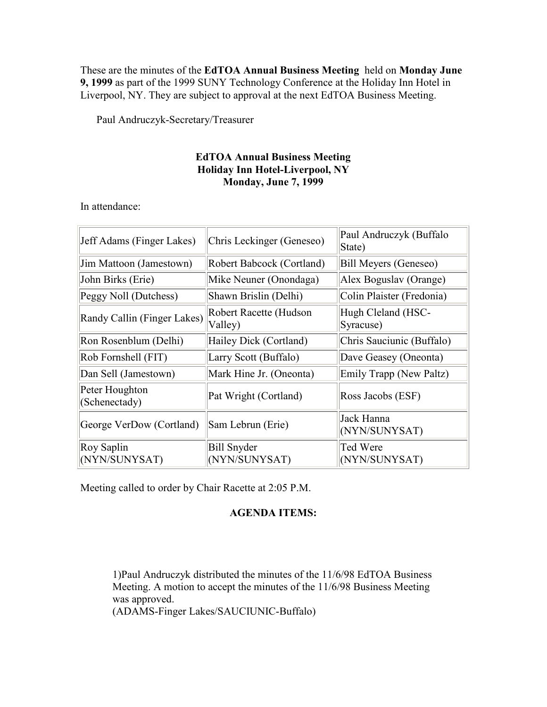These are the minutes of the EdTOA Annual Business Meeting held on Monday June 9, 1999 as part of the 1999 SUNY Technology Conference at the Holiday Inn Hotel in Liverpool, NY. They are subject to approval at the next EdTOA Business Meeting.

Paul Andruczyk-Secretary/Treasurer

# EdTOA Annual Business Meeting Holiday Inn Hotel-Liverpool, NY Monday, June 7, 1999

In attendance:

| Jeff Adams (Finger Lakes)       | Chris Leckinger (Geneseo)           | Paul Andruczyk (Buffalo<br>State) |
|---------------------------------|-------------------------------------|-----------------------------------|
| Jim Mattoon (Jamestown)         | Robert Babcock (Cortland)           | Bill Meyers (Geneseo)             |
| John Birks (Erie)               | Mike Neuner (Onondaga)              | Alex Boguslav (Orange)            |
| Peggy Noll (Dutchess)           | Shawn Brislin (Delhi)               | Colin Plaister (Fredonia)         |
| Randy Callin (Finger Lakes)     | Robert Racette (Hudson<br>Valley)   | Hugh Cleland (HSC-<br>Syracuse)   |
| Ron Rosenblum (Delhi)           | Hailey Dick (Cortland)              | Chris Sauciunic (Buffalo)         |
| Rob Fornshell (FIT)             | Larry Scott (Buffalo)               | Dave Geasey (Oneonta)             |
| Dan Sell (Jamestown)            | Mark Hine Jr. (Oneonta)             | Emily Trapp (New Paltz)           |
| Peter Houghton<br>(Schenectady) | Pat Wright (Cortland)               | Ross Jacobs (ESF)                 |
| George VerDow (Cortland)        | Sam Lebrun (Erie)                   | Jack Hanna<br>(NYN/SUNYSAT)       |
| Roy Saplin<br>(NYN/SUNYSAT)     | <b>Bill Snyder</b><br>(NYN/SUNYSAT) | Ted Were<br>(NYN/SUNYSAT)         |

Meeting called to order by Chair Racette at 2:05 P.M.

# AGENDA ITEMS:

1)Paul Andruczyk distributed the minutes of the 11/6/98 EdTOA Business Meeting. A motion to accept the minutes of the 11/6/98 Business Meeting was approved.

(ADAMS-Finger Lakes/SAUCIUNIC-Buffalo)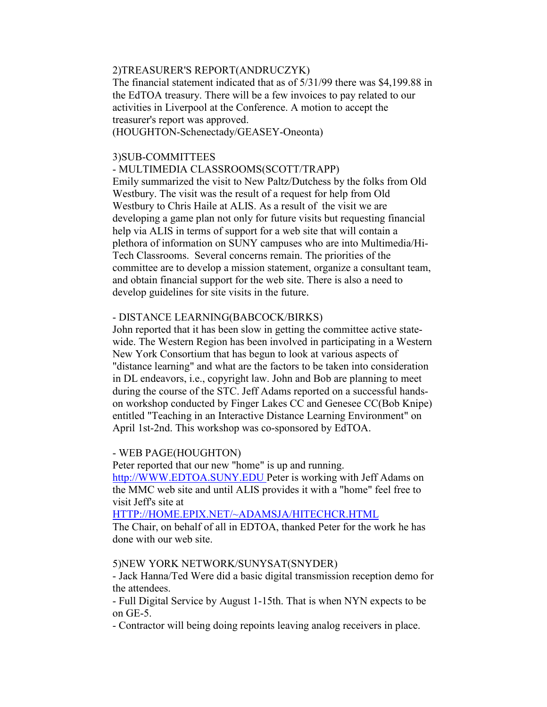### 2)TREASURER'S REPORT(ANDRUCZYK)

The financial statement indicated that as of 5/31/99 there was \$4,199.88 in the EdTOA treasury. There will be a few invoices to pay related to our activities in Liverpool at the Conference. A motion to accept the treasurer's report was approved.

(HOUGHTON-Schenectady/GEASEY-Oneonta)

## 3)SUB-COMMITTEES

- MULTIMEDIA CLASSROOMS(SCOTT/TRAPP) Emily summarized the visit to New Paltz/Dutchess by the folks from Old Westbury. The visit was the result of a request for help from Old Westbury to Chris Haile at ALIS. As a result of the visit we are developing a game plan not only for future visits but requesting financial help via ALIS in terms of support for a web site that will contain a plethora of information on SUNY campuses who are into Multimedia/Hi-Tech Classrooms. Several concerns remain. The priorities of the committee are to develop a mission statement, organize a consultant team, and obtain financial support for the web site. There is also a need to develop guidelines for site visits in the future.

### - DISTANCE LEARNING(BABCOCK/BIRKS)

John reported that it has been slow in getting the committee active statewide. The Western Region has been involved in participating in a Western New York Consortium that has begun to look at various aspects of "distance learning" and what are the factors to be taken into consideration in DL endeavors, i.e., copyright law. John and Bob are planning to meet during the course of the STC. Jeff Adams reported on a successful handson workshop conducted by Finger Lakes CC and Genesee CC(Bob Knipe) entitled "Teaching in an Interactive Distance Learning Environment" on April 1st-2nd. This workshop was co-sponsored by EdTOA.

#### - WEB PAGE(HOUGHTON)

Peter reported that our new "home" is up and running. http://WWW.EDTOA.SUNY.EDU Peter is working with Jeff Adams on the MMC web site and until ALIS provides it with a "home" feel free to visit Jeff's site at

HTTP://HOME.EPIX.NET/~ADAMSJA/HITECHCR.HTML

The Chair, on behalf of all in EDTOA, thanked Peter for the work he has done with our web site.

5)NEW YORK NETWORK/SUNYSAT(SNYDER)

- Jack Hanna/Ted Were did a basic digital transmission reception demo for the attendees.

- Full Digital Service by August 1-15th. That is when NYN expects to be on GE-5.

- Contractor will being doing repoints leaving analog receivers in place.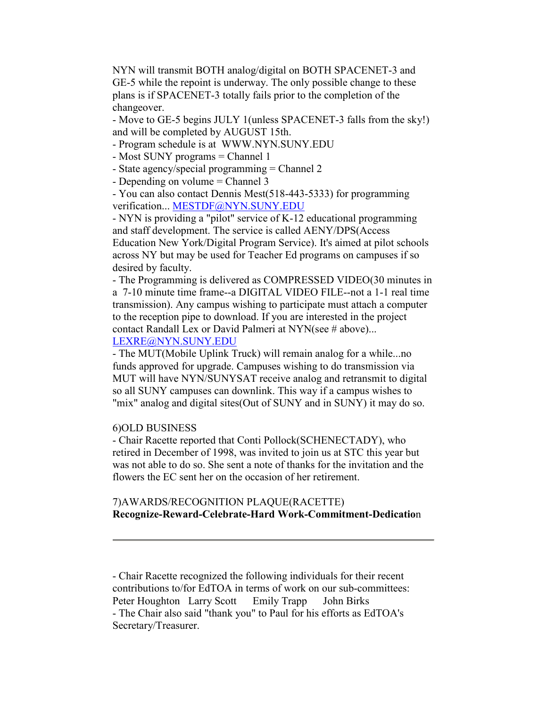NYN will transmit BOTH analog/digital on BOTH SPACENET-3 and GE-5 while the repoint is underway. The only possible change to these plans is if SPACENET-3 totally fails prior to the completion of the changeover.

- Move to GE-5 begins JULY 1(unless SPACENET-3 falls from the sky!) and will be completed by AUGUST 15th.

- Program schedule is at WWW.NYN.SUNY.EDU

- Most SUNY programs = Channel 1
- State agency/special programming = Channel 2
- Depending on volume = Channel 3

- You can also contact Dennis Mest(518-443-5333) for programming verification... MESTDF@NYN.SUNY.EDU

- NYN is providing a "pilot" service of K-12 educational programming and staff development. The service is called AENY/DPS(Access Education New York/Digital Program Service). It's aimed at pilot schools across NY but may be used for Teacher Ed programs on campuses if so desired by faculty.

- The Programming is delivered as COMPRESSED VIDEO(30 minutes in a 7-10 minute time frame--a DIGITAL VIDEO FILE--not a 1-1 real time transmission). Any campus wishing to participate must attach a computer to the reception pipe to download. If you are interested in the project contact Randall Lex or David Palmeri at NYN(see # above)... LEXRE@NYN.SUNY.EDU

- The MUT(Mobile Uplink Truck) will remain analog for a while...no funds approved for upgrade. Campuses wishing to do transmission via MUT will have NYN/SUNYSAT receive analog and retransmit to digital so all SUNY campuses can downlink. This way if a campus wishes to "mix" analog and digital sites(Out of SUNY and in SUNY) it may do so.

## 6)OLD BUSINESS

- Chair Racette reported that Conti Pollock(SCHENECTADY), who retired in December of 1998, was invited to join us at STC this year but was not able to do so. She sent a note of thanks for the invitation and the flowers the EC sent her on the occasion of her retirement.

## 7)AWARDS/RECOGNITION PLAQUE(RACETTE) Recognize-Reward-Celebrate-Hard Work-Commitment-Dedication

- Chair Racette recognized the following individuals for their recent contributions to/for EdTOA in terms of work on our sub-committees: Peter Houghton Larry Scott Emily Trapp John Birks - The Chair also said "thank you" to Paul for his efforts as EdTOA's Secretary/Treasurer.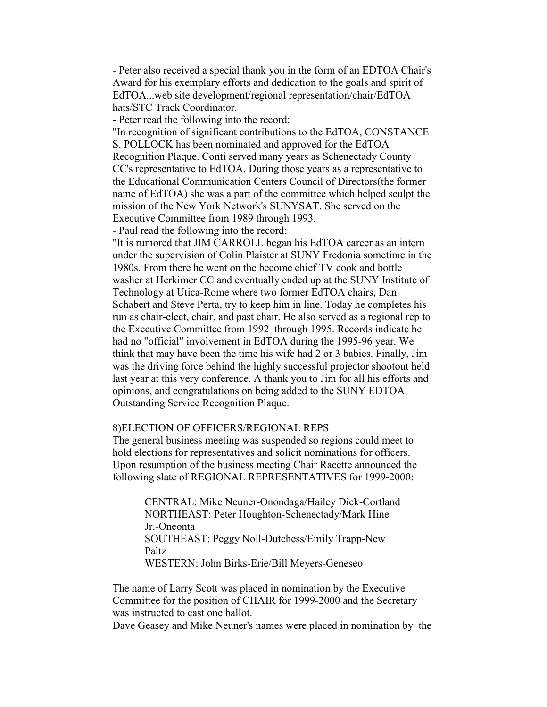- Peter also received a special thank you in the form of an EDTOA Chair's Award for his exemplary efforts and dedication to the goals and spirit of EdTOA...web site development/regional representation/chair/EdTOA hats/STC Track Coordinator.

- Peter read the following into the record:

"In recognition of significant contributions to the EdTOA, CONSTANCE S. POLLOCK has been nominated and approved for the EdTOA Recognition Plaque. Conti served many years as Schenectady County CC's representative to EdTOA. During those years as a representative to the Educational Communication Centers Council of Directors(the former name of EdTOA) she was a part of the committee which helped sculpt the mission of the New York Network's SUNYSAT. She served on the Executive Committee from 1989 through 1993.

- Paul read the following into the record:

"It is rumored that JIM CARROLL began his EdTOA career as an intern under the supervision of Colin Plaister at SUNY Fredonia sometime in the 1980s. From there he went on the become chief TV cook and bottle washer at Herkimer CC and eventually ended up at the SUNY Institute of Technology at Utica-Rome where two former EdTOA chairs, Dan Schabert and Steve Perta, try to keep him in line. Today he completes his run as chair-elect, chair, and past chair. He also served as a regional rep to the Executive Committee from 1992 through 1995. Records indicate he had no "official" involvement in EdTOA during the 1995-96 year. We think that may have been the time his wife had 2 or 3 babies. Finally, Jim was the driving force behind the highly successful projector shootout held last year at this very conference. A thank you to Jim for all his efforts and opinions, and congratulations on being added to the SUNY EDTOA Outstanding Service Recognition Plaque.

### 8)ELECTION OF OFFICERS/REGIONAL REPS

The general business meeting was suspended so regions could meet to hold elections for representatives and solicit nominations for officers. Upon resumption of the business meeting Chair Racette announced the following slate of REGIONAL REPRESENTATIVES for 1999-2000:

> CENTRAL: Mike Neuner-Onondaga/Hailey Dick-Cortland NORTHEAST: Peter Houghton-Schenectady/Mark Hine Jr.-Oneonta SOUTHEAST: Peggy Noll-Dutchess/Emily Trapp-New **Paltz** WESTERN: John Birks-Erie/Bill Meyers-Geneseo

The name of Larry Scott was placed in nomination by the Executive Committee for the position of CHAIR for 1999-2000 and the Secretary was instructed to cast one ballot.

Dave Geasey and Mike Neuner's names were placed in nomination by the